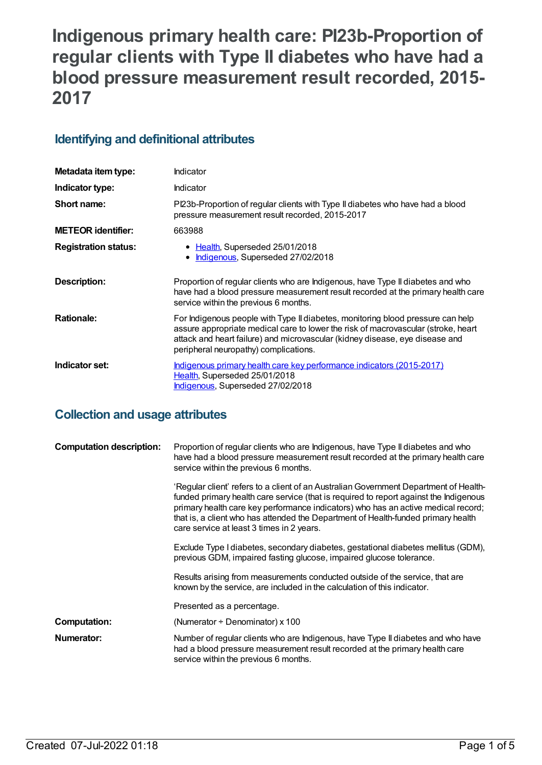# **Indigenous primary health care: PI23b-Proportion of regular clients with Type II diabetes who have had a blood pressure measurement result recorded, 2015- 2017**

# **Identifying and definitional attributes**

| Metadata item type:         | Indicator                                                                                                                                                                                                                                                                                     |  |
|-----------------------------|-----------------------------------------------------------------------------------------------------------------------------------------------------------------------------------------------------------------------------------------------------------------------------------------------|--|
| Indicator type:             | Indicator                                                                                                                                                                                                                                                                                     |  |
| Short name:                 | PI23b-Proportion of regular clients with Type II diabetes who have had a blood<br>pressure measurement result recorded, 2015-2017                                                                                                                                                             |  |
| <b>METEOR identifier:</b>   | 663988                                                                                                                                                                                                                                                                                        |  |
| <b>Registration status:</b> | • Health, Superseded 25/01/2018<br>Indigenous, Superseded 27/02/2018<br>$\bullet$                                                                                                                                                                                                             |  |
| Description:                | Proportion of regular clients who are Indigenous, have Type II diabetes and who<br>have had a blood pressure measurement result recorded at the primary health care<br>service within the previous 6 months.                                                                                  |  |
| <b>Rationale:</b>           | For Indigenous people with Type II diabetes, monitoring blood pressure can help<br>assure appropriate medical care to lower the risk of macrovascular (stroke, heart<br>attack and heart failure) and microvascular (kidney disease, eye disease and<br>peripheral neuropathy) complications. |  |
| Indicator set:              | <u>Indigenous primary health care key performance indicators (2015-2017)</u><br>Health, Superseded 25/01/2018<br>Indigenous, Superseded 27/02/2018                                                                                                                                            |  |

# **Collection and usage attributes**

| <b>Computation description:</b> | Proportion of regular clients who are Indigenous, have Type II diabetes and who<br>have had a blood pressure measurement result recorded at the primary health care<br>service within the previous 6 months.                                                                                                                                                                                          |
|---------------------------------|-------------------------------------------------------------------------------------------------------------------------------------------------------------------------------------------------------------------------------------------------------------------------------------------------------------------------------------------------------------------------------------------------------|
|                                 | 'Regular client' refers to a client of an Australian Government Department of Health-<br>funded primary health care service (that is required to report against the Indigenous<br>primary health care key performance indicators) who has an active medical record;<br>that is, a client who has attended the Department of Health-funded primary health<br>care service at least 3 times in 2 years. |
|                                 | Exclude Type I diabetes, secondary diabetes, gestational diabetes mellitus (GDM),<br>previous GDM, impaired fasting glucose, impaired glucose tolerance.                                                                                                                                                                                                                                              |
|                                 | Results arising from measurements conducted outside of the service, that are<br>known by the service, are included in the calculation of this indicator.                                                                                                                                                                                                                                              |
|                                 | Presented as a percentage.                                                                                                                                                                                                                                                                                                                                                                            |
| <b>Computation:</b>             | (Numerator $\div$ Denominator) x 100                                                                                                                                                                                                                                                                                                                                                                  |
| Numerator:                      | Number of regular clients who are Indigenous, have Type II diabetes and who have<br>had a blood pressure measurement result recorded at the primary health care<br>service within the previous 6 months.                                                                                                                                                                                              |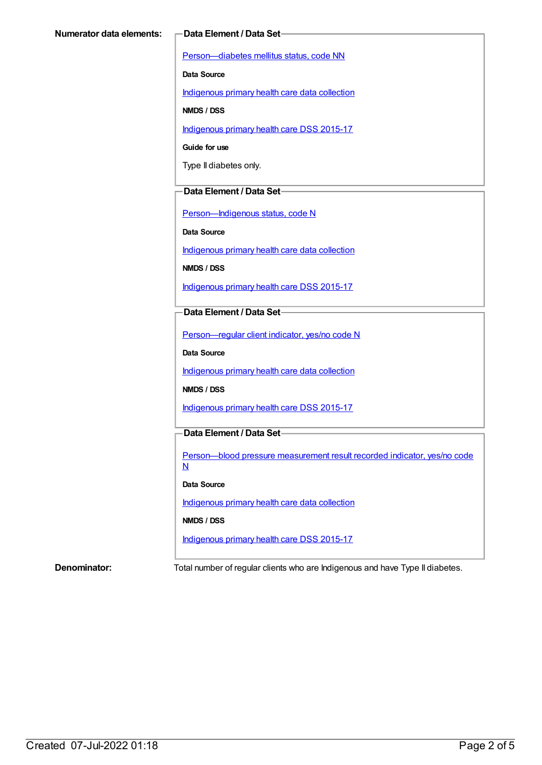[Person—diabetes](https://meteor.aihw.gov.au/content/270194) mellitus status, code NN

**Data Source**

[Indigenous](https://meteor.aihw.gov.au/content/430643) primary health care data collection

**NMDS / DSS**

[Indigenous](https://meteor.aihw.gov.au/content/585036) primary health care DSS 2015-17

**Guide for use**

Type II diabetes only.

#### **Data Element / Data Set**

[Person—Indigenous](https://meteor.aihw.gov.au/content/291036) status, code N

**Data Source**

[Indigenous](https://meteor.aihw.gov.au/content/430643) primary health care data collection

**NMDS / DSS**

[Indigenous](https://meteor.aihw.gov.au/content/585036) primary health care DSS 2015-17

#### **Data Element / Data Set**

[Person—regular](https://meteor.aihw.gov.au/content/436639) client indicator, yes/no code N

**Data Source**

[Indigenous](https://meteor.aihw.gov.au/content/430643) primary health care data collection

**NMDS / DSS**

[Indigenous](https://meteor.aihw.gov.au/content/585036) primary health care DSS 2015-17

#### **Data Element / Data Set**

[Person—blood](https://meteor.aihw.gov.au/content/441407) pressure measurement result recorded indicator, yes/no code N

#### **Data Source**

[Indigenous](https://meteor.aihw.gov.au/content/430643) primary health care data collection

#### **NMDS / DSS**

[Indigenous](https://meteor.aihw.gov.au/content/585036) primary health care DSS 2015-17

**Denominator:** Total number of regular clients who are Indigenous and have Type II diabetes.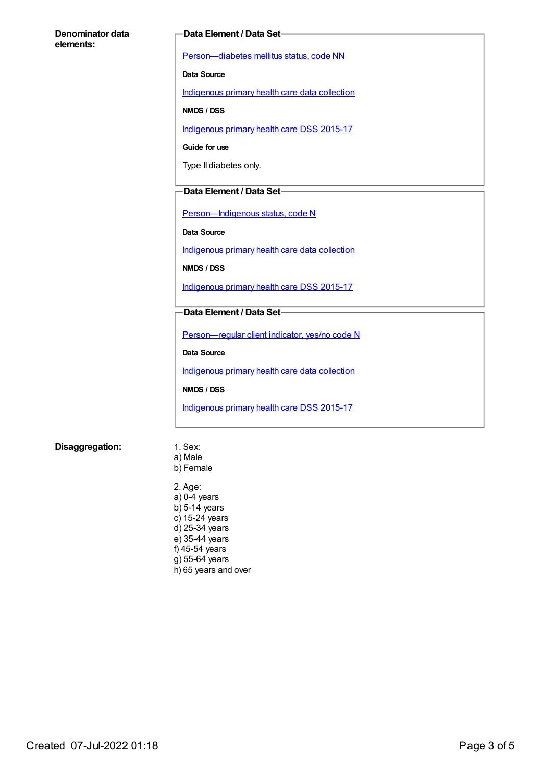#### **Denominator data elements:**

#### **Data Element / Data Set**

[Person—diabetes](https://meteor.aihw.gov.au/content/270194) mellitus status, code NN

**Data Source**

[Indigenous](https://meteor.aihw.gov.au/content/430643) primary health care data collection

**NMDS / DSS**

[Indigenous](https://meteor.aihw.gov.au/content/585036) primary health care DSS 2015-17

**Guide for use**

Type II diabetes only.

#### **Data Element / Data Set**

[Person—Indigenous](https://meteor.aihw.gov.au/content/291036) status, code N

**Data Source**

[Indigenous](https://meteor.aihw.gov.au/content/430643) primary health care data collection

**NMDS / DSS**

[Indigenous](https://meteor.aihw.gov.au/content/585036) primary health care DSS 2015-17

#### **Data Element / Data Set**

[Person—regular](https://meteor.aihw.gov.au/content/436639) client indicator, yes/no code N

**Data Source**

[Indigenous](https://meteor.aihw.gov.au/content/430643) primary health care data collection

**NMDS / DSS**

[Indigenous](https://meteor.aihw.gov.au/content/585036) primary health care DSS 2015-17

#### **Disaggregation:** 1. Sex:

a) Male b) Female

2. Age: a) 0-4 years b) 5-14 years c) 15-24 years d) 25-34 years e) 35-44 years f) 45-54 years g) 55-64 years h) 65 years and over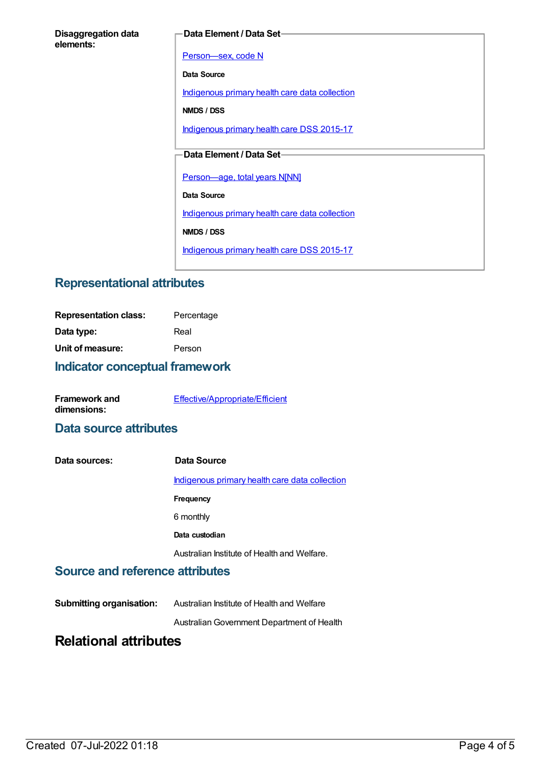#### **Data Element / Data Set**

[Person—sex,](https://meteor.aihw.gov.au/content/287316) code N

**Data Source**

[Indigenous](https://meteor.aihw.gov.au/content/430643) primary health care data collection

**NMDS / DSS**

[Indigenous](https://meteor.aihw.gov.au/content/585036) primary health care DSS 2015-17

### **Data Element / Data Set**

[Person—age,](https://meteor.aihw.gov.au/content/303794) total years N[NN]

**Data Source**

[Indigenous](https://meteor.aihw.gov.au/content/430643) primary health care data collection

**NMDS / DSS**

[Indigenous](https://meteor.aihw.gov.au/content/585036) primary health care DSS 2015-17

## **Representational attributes**

| <b>Representation class:</b> | Percentage |
|------------------------------|------------|
| Data type:                   | Real       |
| Unit of measure:             | Person     |
|                              |            |

### **Indicator conceptual framework**

| <b>Framework and</b> | Effective/Appropriate/Efficient |
|----------------------|---------------------------------|
| dimensions:          |                                 |

## **Data source attributes**

| Data sources: | Data Source                                    |
|---------------|------------------------------------------------|
|               | Indigenous primary health care data collection |
|               | Frequency                                      |
|               | 6 monthly                                      |
|               | Data custodian                                 |
|               | Australian Institute of Health and Welfare.    |

#### **Source and reference attributes**

**Submitting organisation:** Australian Institute of Health and Welfare

AustralianGovernment Department of Health

# **Relational attributes**